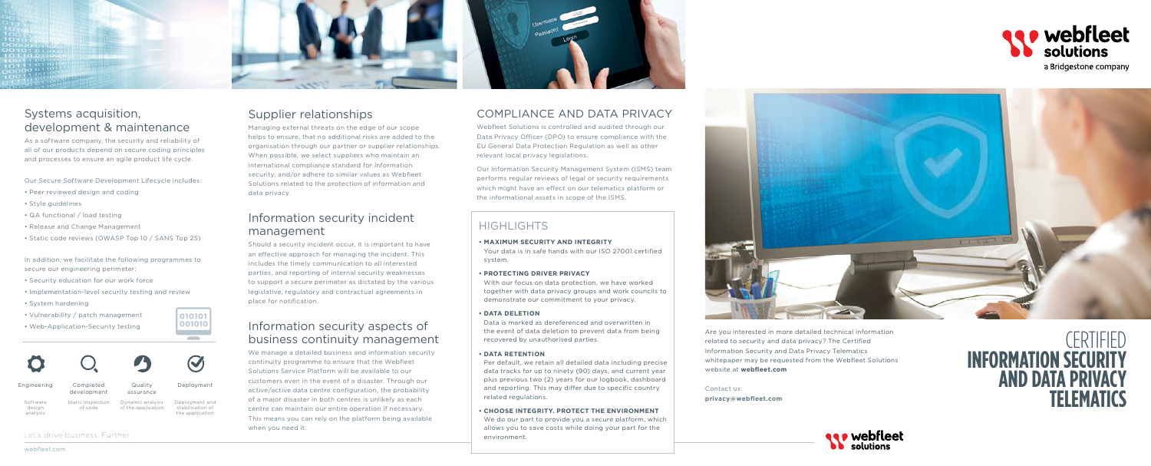**privacy@webfleet.com**

# **CERTIFIED Information Security and Data Privacy**  Contact us:<br> **Privacy@webfleet.com**<br> **TELEMATICS**





# Systems acquisition, development & maintenance

As a software company, the security and reliability of all of our products depend on secure coding principles and processes to ensure an agile product life cycle.

Our Secure Software Development Lifecycle includes:

- Peer reviewed design and coding
- Style guidelines
- QA functional / load testing
- Release and Change Management
- Static code reviews (OWASP Top 10 / SANS Top 25)

In addition, we facilitate the following programmes to secure our engineering perimeter:

- Security education for our work force
- Implementation-level security testing and review
- System hardening
- Vulnerability / patch management
- Web-Application-Security testing



# Supplier relationships

Managing external threats on the edge of our scope helps to ensure, that no additional risks are added to the organisation through our partner or supplier relationships. When possible, we select suppliers who maintain an international compliance standard for information security, and/or adhere to similar values as Webfleet Solutions related to the protection of information and data privacy.

## Information security incident management

Should a security incident occur, it is important to have an effective approach for managing the incident. This includes the timely communication to all interested parties, and reporting of internal security weaknesses to support a secure perimeter as dictated by the various legislative, regulatory and contractual agreements in place for notification.

## Information security aspects of business continuity management

We manage a detailed business and information security continuity programme to ensure that the Webfleet Solutions Service Platform will be available to our customers even in the event of a disaster. Through our active/active data centre configuration, the probability of a major disaster in both centres is unlikely as each centre can maintain our entire operation if necessary. This means you can rely on the platform being available when you need it.

# Compliance and data privacy

Webfleet Solutions is controlled and audited through our Data Privacy Officer (DPO) to ensure compliance with the EU General Data Protection Regulation as well as other relevant local privacy legislations.

Our Information Security Management System (ISMS) team performs regular reviews of legal or security requirements which might have an effect on our telematics platform or the informational assets in scope of the ISMS.

> Are you interested in more detailed technical information related to security and data privacy? The Certified Information Security and Data Privacy Telematics whitepaper may be requested from the Webfleet Solutions website at **webfleet.com**

# Highlights

- **Maximum security and integrity** Your data is in safe hands with our ISO 27001 certified system.
- **Protecting driver privacy**

WIth our focus on data protection, we have worked together with data privacy groups and work councils to demonstrate our commitment to your privacy.

## **• Data deletion**

Data is marked as dereferenced and overwritten in the event of data deletion to prevent data from being recovered by unauthorised parties.

## **• Data retention**

Per default, we retain all detailed data including precise data tracks for up to ninety (90) days, and current year plus previous two (2) years for our logbook, dashboard and reporting. This may differ due to specific country related regulations.

**• Choose integrity. protect the environment** We do our part to provide you a secure platform, which allows you to save costs while doing your part for the environment.

webfleet.com



| Engineering                    | Completed<br>development     | Quality<br>assurance                   | Deployment                                            |
|--------------------------------|------------------------------|----------------------------------------|-------------------------------------------------------|
| Software<br>design<br>analysis | Static inspection<br>of code | Dynamic analysis<br>of the application | Deployment and<br>stabilisation of<br>the application |

Let's drive business. Further.